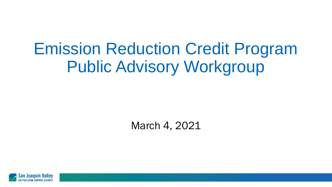# Emission Reduction Credit Program Public Advisory Workgroup

March 4, 2021

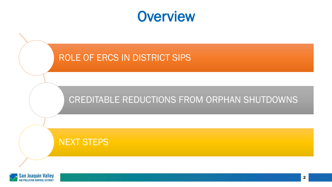#### **Overview**



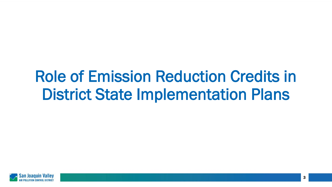# Role of Emission Reduction Credits in District State Implementation Plans

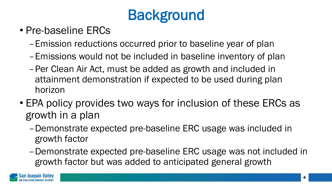## **Background**

- Pre-baseline ERCs
	- –Emission reductions occurred prior to baseline year of plan
	- –Emissions would not be included in baseline inventory of plan
	- –Per Clean Air Act, must be added as growth and included in attainment demonstration if expected to be used during plan horizon
- EPA policy provides two ways for inclusion of these ERCs as growth in a plan
	- –Demonstrate expected pre-baseline ERC usage was included in growth factor
	- –Demonstrate expected pre-baseline ERC usage was not included in growth factor but was added to anticipated general growth

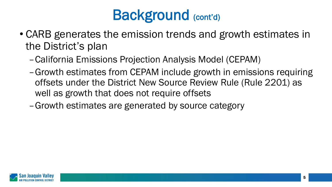

- CARB generates the emission trends and growth estimates in the District's plan
	- –California Emissions Projection Analysis Model (CEPAM)
	- –Growth estimates from CEPAM include growth in emissions requiring offsets under the District New Source Review Rule (Rule 2201) as well as growth that does not require offsets
	- –Growth estimates are generated by source category

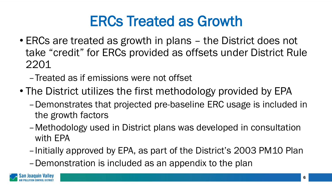### ERCs Treated as Growth

- ERCs are treated as growth in plans the District does not take "credit" for ERCs provided as offsets under District Rule 2201
	- –Treated as if emissions were not offset
- The District utilizes the first methodology provided by EPA
	- –Demonstrates that projected pre-baseline ERC usage is included in the growth factors
	- –Methodology used in District plans was developed in consultation with EPA
	- –Initially approved by EPA, as part of the District's 2003 PM10 Plan
	- –Demonstration is included as an appendix to the plan

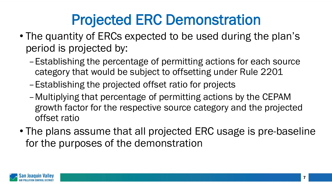### Projected ERC Demonstration

- The quantity of ERCs expected to be used during the plan's period is projected by:
	- –Establishing the percentage of permitting actions for each source category that would be subject to offsetting under Rule 2201
	- –Establishing the projected offset ratio for projects
	- –Multiplying that percentage of permitting actions by the CEPAM growth factor for the respective source category and the projected offset ratio
- The plans assume that all projected ERC usage is pre-baseline for the purposes of the demonstration

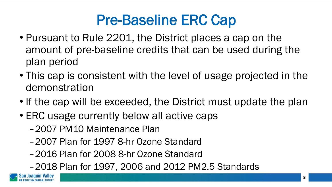### Pre-Baseline ERC Cap

- Pursuant to Rule 2201, the District places a cap on the amount of pre-baseline credits that can be used during the plan period
- This cap is consistent with the level of usage projected in the demonstration
- If the cap will be exceeded, the District must update the plan
- ERC usage currently below all active caps
	- –2007 PM10 Maintenance Plan
	- –2007 Plan for 1997 8-hr Ozone Standard
	- –2016 Plan for 2008 8-hr Ozone Standard
	- –2018 Plan for 1997, 2006 and 2012 PM2.5 Standards

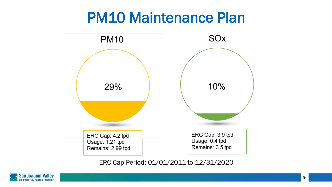#### PM10 Maintenance Plan



ERC Cap Period: 01/01/2011 to 12/31/2020

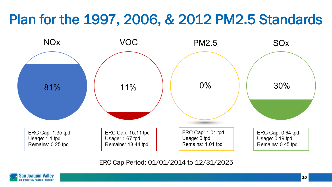### Plan for the 1997, 2006, & 2012 PM2.5 Standards



ERC Cap Period: 01/01/2014 to 12/31/2025

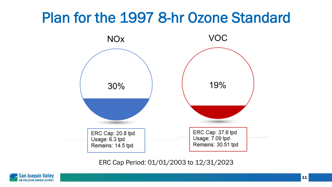### Plan for the 1997 8-hr Ozone Standard



ERC Cap Period: 01/01/2003 to 12/31/2023

![](_page_10_Picture_3.jpeg)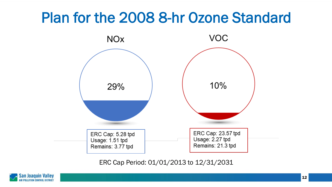### Plan for the 2008 8-hr Ozone Standard

![](_page_11_Figure_1.jpeg)

ERC Cap Period: 01/01/2013 to 12/31/2031

![](_page_11_Picture_3.jpeg)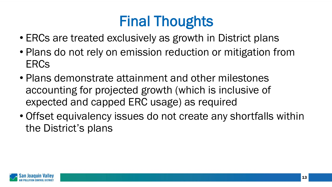## Final Thoughts

- ERCs are treated exclusively as growth in District plans
- Plans do not rely on emission reduction or mitigation from ERCs
- Plans demonstrate attainment and other milestones accounting for projected growth (which is inclusive of expected and capped ERC usage) as required
- Offset equivalency issues do not create any shortfalls within the District's plans

![](_page_12_Picture_5.jpeg)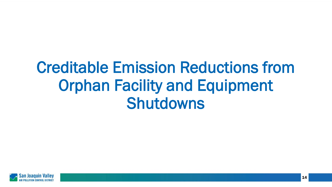# Creditable Emission Reductions from Orphan Facility and Equipment Shutdowns

![](_page_13_Picture_1.jpeg)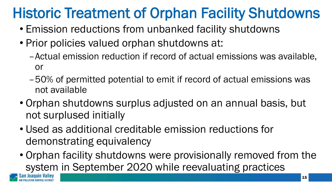## Historic Treatment of Orphan Facility Shutdowns

- Emission reductions from unbanked facility shutdowns
- Prior policies valued orphan shutdowns at:
	- –Actual emission reduction if record of actual emissions was available, or
	- –50% of permitted potential to emit if record of actual emissions was not available
- Orphan shutdowns surplus adjusted on an annual basis, but not surplused initially
- Used as additional creditable emission reductions for demonstrating equivalency
- Orphan facility shutdowns were provisionally removed from the system in September 2020 while reevaluating practices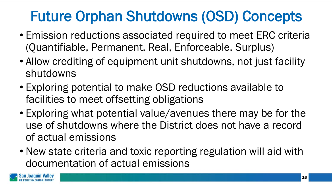## Future Orphan Shutdowns (OSD) Concepts

- Emission reductions associated required to meet ERC criteria (Quantifiable, Permanent, Real, Enforceable, Surplus)
- Allow crediting of equipment unit shutdowns, not just facility shutdowns
- Exploring potential to make OSD reductions available to facilities to meet offsetting obligations
- Exploring what potential value/avenues there may be for the use of shutdowns where the District does not have a record of actual emissions
- New state criteria and toxic reporting regulation will aid with documentation of actual emissions

![](_page_15_Picture_6.jpeg)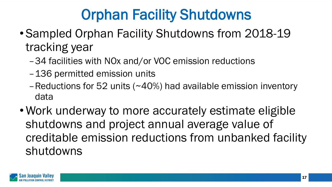## Orphan Facility Shutdowns

- Sampled Orphan Facility Shutdowns from 2018-19 tracking year
	- –34 facilities with NOx and/or VOC emission reductions
	- –136 permitted emission units
	- –Reductions for 52 units (~40%) had available emission inventory data
- Work underway to more accurately estimate eligible shutdowns and project annual average value of creditable emission reductions from unbanked facility shutdowns

![](_page_16_Picture_6.jpeg)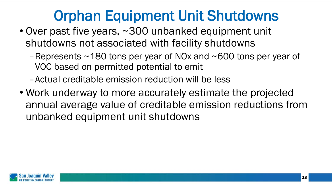### Orphan Equipment Unit Shutdowns

- Over past five years, ~300 unbanked equipment unit shutdowns not associated with facility shutdowns
	- Represents  $\sim$  180 tons per year of NOx and  $\sim$  600 tons per year of VOC based on permitted potential to emit
	- –Actual creditable emission reduction will be less
- Work underway to more accurately estimate the projected annual average value of creditable emission reductions from unbanked equipment unit shutdowns

![](_page_17_Picture_5.jpeg)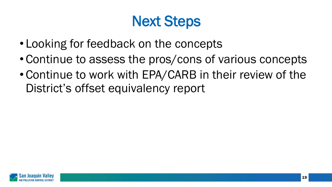### Next Steps

- Looking for feedback on the concepts
- Continue to assess the pros/cons of various concepts
- Continue to work with EPA/CARB in their review of the District's offset equivalency report

![](_page_18_Picture_4.jpeg)